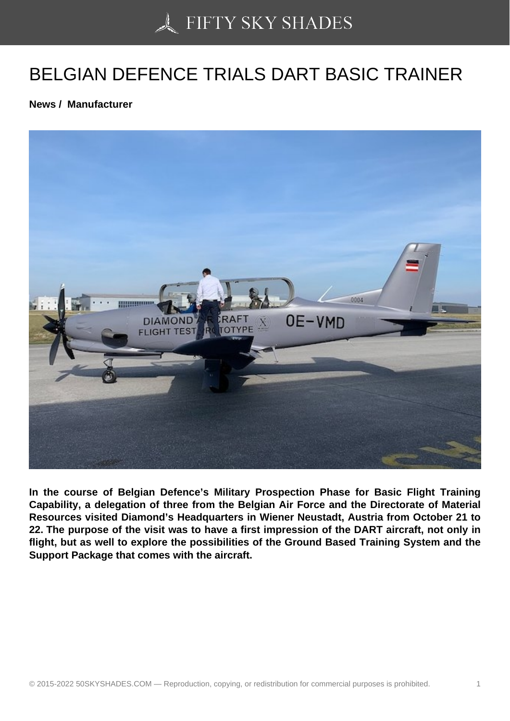## [BELGIAN DEFENCE T](https://50skyshades.com)RIALS DART BASIC TRAINER

News / Manufacturer

In the course of Belgian Defence's Military Prospection Phase for Basic Flight Training Capability, a delegation of three from the Belgian Air Force and the Directorate of Material Resources visited Diamond's Headquarters in Wiener Neustadt, Austria from October 21 to 22. The purpose of the visit was to have a first impression of the DART aircraft, not only in flight, but as well to explore the possibilities of the Ground Based Training System and the Support Package that comes with the aircraft.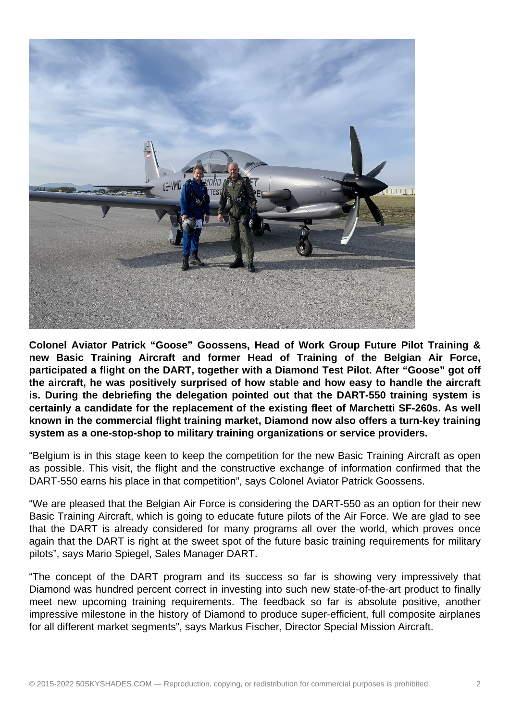

**Colonel Aviator Patrick "Goose" Goossens, Head of Work Group Future Pilot Training & new Basic Training Aircraft and former Head of Training of the Belgian Air Force, participated a flight on the DART, together with a Diamond Test Pilot. After "Goose" got off the aircraft, he was positively surprised of how stable and how easy to handle the aircraft is. During the debriefing the delegation pointed out that the DART-550 training system is certainly a candidate for the replacement of the existing fleet of Marchetti SF-260s. As well known in the commercial flight training market, Diamond now also offers a turn-key training system as a one-stop-shop to military training organizations or service providers.**

"Belgium is in this stage keen to keep the competition for the new Basic Training Aircraft as open as possible. This visit, the flight and the constructive exchange of information confirmed that the DART-550 earns his place in that competition", says Colonel Aviator Patrick Goossens.

"We are pleased that the Belgian Air Force is considering the DART-550 as an option for their new Basic Training Aircraft, which is going to educate future pilots of the Air Force. We are glad to see that the DART is already considered for many programs all over the world, which proves once again that the DART is right at the sweet spot of the future basic training requirements for military pilots", says Mario Spiegel, Sales Manager DART.

"The concept of the DART program and its success so far is showing very impressively that Diamond was hundred percent correct in investing into such new state-of-the-art product to finally meet new upcoming training requirements. The feedback so far is absolute positive, another impressive milestone in the history of Diamond to produce super-efficient, full composite airplanes for all different market segments", says Markus Fischer, Director Special Mission Aircraft.